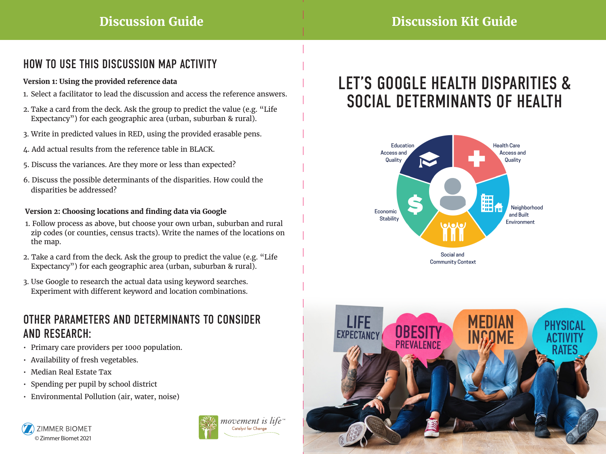# **Discussion Guide Discussion Kit Guide**

## HOW TO USE THIS DISCUSSION MAP ACTIVITY

#### **Version 1: Using the provided reference data**

- 1. Select a facilitator to lead the discussion and access the reference answers.
- 2. Take a card from the deck. Ask the group to predict the value (e.g. "Life Expectancy") for each geographic area (urban, suburban & rural).
- 3. Write in predicted values in RED, using the provided erasable pens.
- 4. Add actual results from the reference table in BLACK.
- 5. Discuss the variances. Are they more or less than expected?
- 6. Discuss the possible determinants of the disparities. How could the disparities be addressed?

### **Version 2: Choosing locations and finding data via Google**

- 1. Follow process as above, but choose your own urban, suburban and rural zip codes (or counties, census tracts). Write the names of the locations on the map.
- 2. Take a card from the deck. Ask the group to predict the value (e.g. "Life Expectancy") for each geographic area (urban, suburban & rural).
- 3. Use Google to research the actual data using keyword searches. Experiment with different keyword and location combinations.

### OTHER PARAMETERS AND DETERMINANTS TO CONSIDER AND RESEARCH:

- Primary care providers per 1000 population.
- Availability of fresh vegetables.
- Median Real Estate Tax
- Spending per pupil by school district
- Environmental Pollution (air, water, noise)





# LET'S GOOGLE HEALTH DISPARITIES & SOCIAL DETERMINANTS OF HEALTH